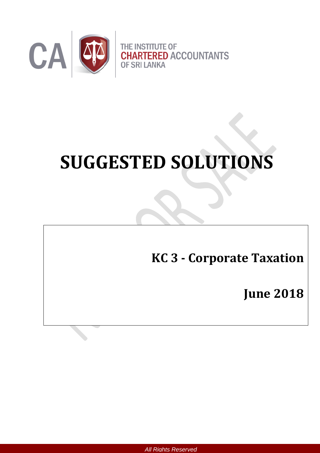

# **SUGGESTED SOLUTIONS**

# **KC 3 - Corporate Taxation**

**June 2018**

*All Rights Reserved*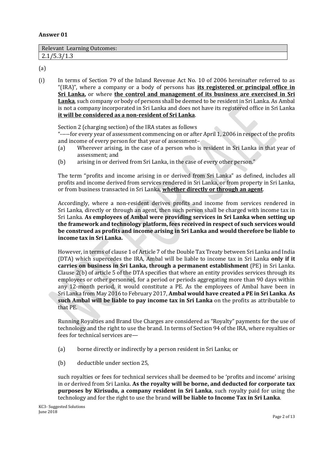#### **Answer 01**

| <b>Relevant Learning Outcomes:</b> |  |
|------------------------------------|--|
| 21/52/12<br>2.10J                  |  |

(a)

(i) In terms of Section 79 of the Inland Revenue Act No. 10 of 2006 hereinafter referred to as "(IRA)", where a company or a body of persons has **its registered or principal office in Sri Lanka,** or where **the control and management of its business are exercised in Sri Lanka**, such company or body of persons shall be deemed to be resident in Sri Lanka. As Ambal is not a company incorporated in Sri Lanka and does not have its registered office in Sri Lanka **it will be considered as a non-resident of Sri Lanka**.

Section 2 (charging section) of the IRA states as follows

"-----for every year of assessment commencing on or after April 1, 2006 in respect of the profits and income of every person for that year of assessment–

- (a) Wherever arising, in the case of a person who is resident in Sri Lanka in that year of assessment; and
- (b) arising in or derived from Sri Lanka, in the case of every other person."

The term "profits and income arising in or derived from Sri Lanka" as defined, includes all profits and income derived from services rendered in Sri Lanka, or from property in Sri Lanka, or from business transacted in Sri Lanka, **whether directly or through an agent**.

Accordingly, where a non-resident derives profits and income from services rendered in Sri Lanka, directly or through an agent, then such person shall be charged with income tax in Sri Lanka. **As employees of Ambal were providing services in Sri Lanka when setting up the framework and technology platform, fees received in respect of such services would be construed as profits and income arising in Sri Lanka and would therefore be liable to income tax in Sri Lanka.**

However, in terms of clause 1 of Article 7 of the Double Tax Treaty between Sri Lanka and India (DTA) which supercedes the IRA, Ambal will be liable to income tax in Sri Lanka **only if it carries on business in Sri Lanka, through a permanent establishment** (PE) in Sri Lanka. Clause 2(b) of article 5 of the DTA specifies that where an entity provides services through its employees or other personnel, for a period or periods aggregating more than 90 days within any 12-month period, it would constitute a PE. As the employees of Ambal have been in Sri Lanka from May 2016 to February 2017, **Ambal would have created a PE in Sri Lanka**. **As such Ambal will be liable to pay income tax in Sri Lanka** on the profits as attributable to that PE.

Running Royalties and Brand Use Charges are considered as "Royalty" payments for the use of technology and the right to use the brand. In terms of Section 94 of the IRA, where royalties or fees for technical services are—

- (a) borne directly or indirectly by a person resident in Sri Lanka; or
- (b) deductible under section 25,

such royalties or fees for technical services shall be deemed to be 'profits and income' arising in or derived from Sri Lanka. **As the royalty will be borne, and deducted for corporate tax purposes by Kirisudu, a company resident in Sri Lanka**, such royalty paid for using the technology and for the right to use the brand **will be liable to Income Tax in Sri Lanka**.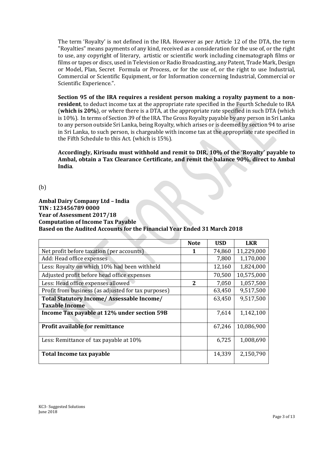The term 'Royalty' is not defined in the IRA. However as per Article 12 of the DTA, the term "Royalties" means payments of any kind, received as a consideration for the use of, or the right to use, any copyright of literary, artistic or scientific work including cinematograph films or films or tapes or discs, used in Television or Radio Broadcasting, any Patent, Trade Mark, Design or Model, Plan, Secret Formula or Process, or for the use of, or the right to use Industrial, Commercial or Scientific Equipment, or for Information concerning Industrial, Commercial or Scientific Experience.".

**Section 95 of the IRA requires a resident person making a royalty payment to a nonresident**, to deduct income tax at the appropriate rate specified in the Fourth Schedule to IRA (**which is 20%**), or where there is a DTA, at the appropriate rate specified in such DTA (which is 10%). In terms of Section 39 of the IRA. The Gross Royalty payable by any person in Sri Lanka to any person outside Sri Lanka, being Royalty, which arises or is deemed by section 94 to arise in Sri Lanka, to such person, is chargeable with income tax at the appropriate rate specified in the Fifth Schedule to this Act. (which is 15%).

**Accordingly, Kirisudu must withhold and remit to DIR, 10% of the 'Royalty' payable to Ambal, obtain a Tax Clearance Certificate, and remit the balance 90%, direct to Ambal India**.

(b)

**Ambal Dairy Company Ltd – India TIN : 123456789 0000 Year of Assessment 2017/18 Computation of Income Tax Payable Based on the Audited Accounts for the Financial Year Ended 31 March 2018**

**Contract** 

|                                                     | <b>Note</b> | <b>USD</b> | <b>LKR</b> |
|-----------------------------------------------------|-------------|------------|------------|
| Net profit before taxation (per accounts)           | 1           | 74,860     | 11,229,000 |
| Add: Head office expenses                           |             | 7,800      | 1,170,000  |
| Less: Royalty on which 10% had been withheld        |             | 12,160     | 1,824,000  |
| Adjusted profit before head office expenses         |             | 70,500     | 10,575,000 |
| Less: Head office expenses allowed                  | 2           | 7,050      | 1,057,500  |
| Profit from business (as adjusted for tax purposes) |             | 63,450     | 9,517,500  |
| Total Statutory Income/ Assessable Income/          |             | 63,450     | 9,517,500  |
| <b>Taxable Income</b>                               |             |            |            |
| Income Tax payable at 12% under section 59B         |             | 7,614      | 1,142,100  |
|                                                     |             |            |            |
| <b>Profit available for remittance</b>              |             | 67,246     | 10,086,900 |
|                                                     |             |            |            |
| Less: Remittance of tax payable at 10%              |             | 6,725      | 1,008,690  |
|                                                     |             |            |            |
| Total Income tax payable                            |             | 14,339     | 2,150,790  |
|                                                     |             |            |            |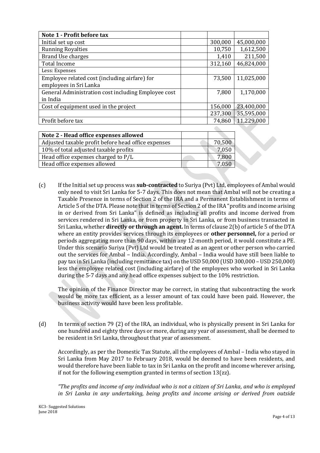| Note 1 - Profit before tax                          |         |            |
|-----------------------------------------------------|---------|------------|
| Initial set up cost                                 | 300,000 | 45,000,000 |
| <b>Running Royalties</b>                            | 10,750  | 1,612,500  |
| <b>Brand Use charges</b>                            | 1,410   | 211,500    |
| <b>Total Income</b>                                 | 312,160 | 46,824,000 |
| Less: Expenses                                      |         |            |
| Employee related cost (including airfare) for       | 73,500  | 11,025,000 |
| employees in Sri Lanka                              |         |            |
| General Administration cost including Employee cost | 7,800   | 1,170,000  |
| in India                                            |         |            |
| Cost of equipment used in the project               | 156,000 | 23,400,000 |
|                                                     | 237,300 | 35,595,000 |
| Profit before tax                                   | 74,860  | 11,229,000 |
|                                                     |         |            |

| Note 2 - Head office expenses allowed               |        |
|-----------------------------------------------------|--------|
| Adjusted taxable profit before head office expenses | 70,500 |
| 10% of total adjusted taxable profits               | 7,050  |
| Head office expenses charged to P/L                 | 7,800  |
| Head office expenses allowed                        | 7.050  |
|                                                     |        |

(c) If the Initial set up process was **sub-contracted** to Suriya (Pvt) Ltd, employees of Ambal would only need to visit Sri Lanka for 5-7 days. This does not mean that Ambal will not be creating a Taxable Presence in terms of Section 2 of the IRA and a Permanent Establishment in terms of Article 5 of the DTA. Please note that in terms of Section 2 of the IRA "profits and income arising in or derived from Sri Lanka" is defined as including all profits and income derived from services rendered in Sri Lanka, or from property in Sri Lanka, or from business transacted in Sri Lanka, whether **directly or through an agent.** In terms of clause 2(b) of article 5 of the DTA where an entity provides services through its employees or **other personnel,** for a period or periods aggregating more than 90 days, within any 12-month period, it would constitute a PE. Under this scenario Suriya (Pvt) Ltd would be treated as an agent or other person who carried out the services for Ambal – India. Accordingly, Ambal – India would have still been liable to pay tax in Sri Lanka (including remittance tax) on the USD 50,000 (USD 300,000 – USD 250,000) less the employee related cost (including airfare) of the employees who worked in Sri Lanka during the 5-7 days and any head office expenses subject to the 10% restriction.

The opinion of the Finance Director may be correct, in stating that subcontracting the work would be more tax efficient, as a lesser amount of tax could have been paid. However, the business activity would have been less profitable.

(d) In terms of section 79 (2) of the IRA, an individual, who is physically present in Sri Lanka for one hundred and eighty three days or more, during any year of assessment, shall be deemed to be resident in Sri Lanka, throughout that year of assessment.

Accordingly, as per the Domestic Tax Statute, all the employees of Ambal – India who stayed in Sri Lanka from May 2017 to February 2018, would be deemed to have been residents, and would therefore have been liable to tax in Sri Lanka on the profit and income wherever arising, if not for the following exemption granted in terms of section 13(zz).

*"The profits and income of any individual who is not a citizen of Sri Lanka, and who is employed in Sri Lanka in any undertaking, being profits and income arising or derived from outside*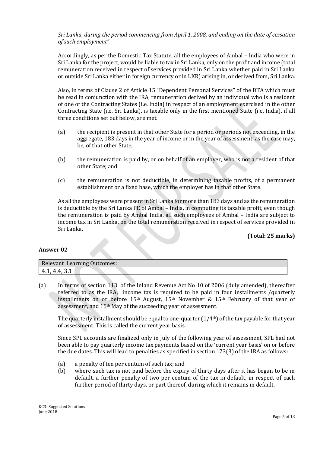#### *Sri Lanka, during the period commencing from April 1, 2008, and ending on the date of cessation of such employment"*

Accordingly, as per the Domestic Tax Statute, all the employees of Ambal – India who were in Sri Lanka for the project, would be liable to tax in Sri Lanka, only on the profit and income (total remuneration received in respect of services provided in Sri Lanka whether paid in Sri Lanka or outside Sri Lanka either in foreign currency or in LKR) arising in, or derived from, Sri Lanka.

Also, in terms of Clause 2 of Article 15 "Dependent Personal Services" of the DTA which must be read in conjunction with the IRA, remuneration derived by an individual who is a resident of one of the Contracting States (i.e. India) in respect of an employment exercised in the other Contracting State (i.e. Sri Lanka), is taxable only in the first mentioned State (i.e. India), if all three conditions set out below, are met.

- (a) the recipient is present in that other State for a period or periods not exceeding, in the aggregate, 183 days in the year of income or in the year of assessment, as the case may, be, of that other State;
- (b) the remuneration is paid by, or on behalf of an employer, who is not a resident of that other State; and
- (c) the remuneration is not deductible, in determining taxable profits, of a permanent establishment or a fixed base, which the employer has in that other State.

As all the employees were present in Sri Lanka for more than 183 days and as the remuneration is deductible by the Sri Lanka PE of Ambal – India, in computing its taxable profit, even though the remuneration is paid by Ambal India, all such employees of Ambal – India are subject to income tax in Sri Lanka, on the total remuneration received in respect of services provided in Sri Lanka.

#### **(Total: 25 marks)**

#### **Answer 02**

| <b>Relevant Learning Outcomes:</b>                   |  |
|------------------------------------------------------|--|
| $\mathbf{\Lambda}$<br>71.<br>$T_{\rm t}$ .<br>1. J.L |  |

(a) In terms of section 113 of the Inland Revenue Act No 10 of 2006 (duly amended), thereafter referred to as the IRA, income tax is required to be paid in four installments /quarterly installments on or before 15th August, 15th November & 15th February of that year of assessment, and 15th May of the succeeding year of assessment.

The quarterly installment should be equal to one-quarter  $(1/4<sup>th</sup>)$  of the tax payable for that year of assessment. This is called the current year basis.

Since SPL accounts are finalized only in July of the following year of assessment, SPL had not been able to pay quarterly income tax payments based on the 'current year basis' on or before the due dates. This will lead to penalties as specified in section 173(3) of the IRA as follows:

- (a) a penalty of ten per centum of such tax; and
- (b) where such tax is not paid before the expiry of thirty days after it has begun to be in default, a further penalty of two per centum of the tax in default, in respect of each further period of thirty days, or part thereof, during which it remains in default.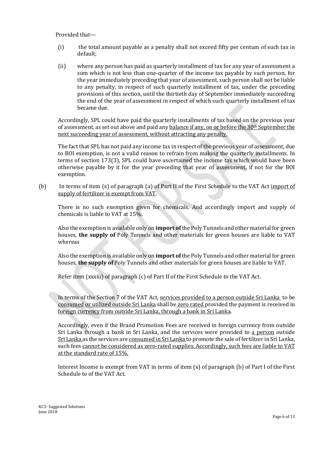Provided that—

- (i) the total amount payable as a penalty shall not exceed fifty per centum of such tax in default;
- (ii) where any person has paid as quarterly installment of tax for any year of assessment a sum which is not less than one-quarter of the income tax payable by such person, for the year immediately preceding that year of assessment, such person shall not be liable to any penalty, in respect of such quarterly installment of tax, under the preceding provisions of this section, until the thirtieth day of September immediately succeeding the end of the year of assessment in respect of which such quarterly installment of tax became due.

Accordingly, SPL could have paid the quarterly installments of tax based on the previous year of assessment, as set out above and paid any balance if any, on or before the 30th September the next succeeding year of assessment, without attracting any penalty.

The fact that SPL has not paid any income tax in respect of the previous year of assessment, due to BOI exemption, is not a valid reason to refrain from making the quarterly installments. In terms of section 173(3), SPL could have ascertained the income tax which would have been otherwise payable by it for the year preceding that year of assessment, if not for the BOI exemption.

(b) In terms of item (x) of paragraph (a) of Part II of the First Schedule to the VAT Act import of supply of fertilizer is exempt from VAT.

There is no such exemption given for chemicals. And accordingly import and supply of chemicals is liable to VAT at 15%.

Also the exemption is available only on **import of** the Poly Tunnels and other material for green houses, **the supply of** Poly Tunnels and other materials for green houses are liable to VAT whereas

Also the exemption is available only on **import of** the Poly Tunnels and other material for green houses, **the supply of** Poly Tunnels and other materials for green houses are liable to VAT.

Refer item (xxxiii) of paragraph (c) of Part II of the First Schedule to the VAT Act.

In terms of the Section 7 of the VAT Act, services provided to a person outside Sri Lanka to be consumed or utilized outside Sri Lanka shall be zero rated provided the payment is received in foreign currency from outside Sri Lanka, through a bank in Sri Lanka.

Accordingly, even if the Brand Promotion Fees are received in foreign currency from outside Sri Lanka through a bank in Sri Lanka, and the services were provided to a person outside Sri Lanka as the services are consumed in Sri Lanka to promote the sale of fertilizer in Sri Lanka, such fees cannot be considered as zero-rated supplies. Accordingly, such fees are liable to VAT at the standard rate of 15%.

Interest Income is exempt from VAT in terms of item (x) of paragraph (b) of Part I of the First Schedule to of the VAT Act.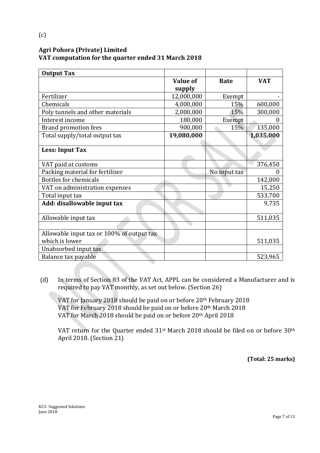## **Agri Pohora (Private) Limited VAT computation for the quarter ended 31 March 2018**

| <b>Output Tax</b>                         |                 |              |            |
|-------------------------------------------|-----------------|--------------|------------|
|                                           | <b>Value of</b> | Rate         | <b>VAT</b> |
|                                           | supply          |              |            |
| Fertilizer                                | 12,000,000      | Exempt       |            |
| Chemicals                                 | 4,000,000       | 15%          | 600,000    |
| Poly tunnels and other materials          | 2,000,000       | 15%          | 300,000    |
| Interest income                           | 180,000         | Exempt       |            |
| <b>Brand promotion fees</b>               | 900,000         | 15%          | 135,000    |
| Total supply/total output tax             | 19,080,000      |              | 1,035,000  |
|                                           |                 |              |            |
| <b>Less: Input Tax</b>                    |                 |              |            |
| VAT paid at customs                       |                 |              | 376,450    |
| Packing material for fertilizer           |                 | No input tax |            |
| <b>Bottles for chemicals</b>              |                 |              | 142,000    |
| VAT on administration expenses            |                 |              | 15,250     |
| Total input tax                           |                 |              | 533,700    |
| Add: disallowable input tax               |                 |              | 9,735      |
| Allowable input tax                       |                 |              | 511,035    |
|                                           |                 |              |            |
| Allowable input tax or 100% of output tax |                 |              |            |
| which is lower                            |                 |              | 511,035    |
| Unabsorbed input tax                      |                 |              |            |
| Balance tax payable                       |                 |              | 523,965    |

(d) In terms of Section 83 of the VAT Act, APPL can be considered a Manufacturer and is required to pay VAT monthly, as set out below. (Section 26)

VAT for January 2018 should be paid on or before 20th February 2018 VAT for February 2018 should be paid on or before 20th March 2018 VAT for March 2018 should be paid on or before 20th April 2018

VAT return for the Quarter ended 31st March 2018 should be filed on or before 30th April 2018. (Section 21)

**(Total: 25 marks)**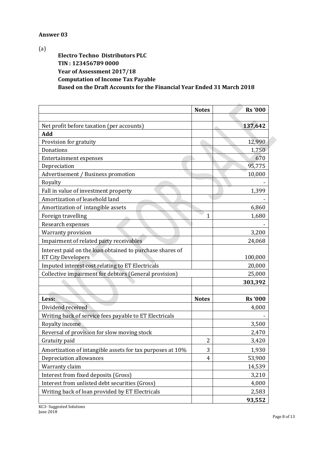#### **Answer 03**

(a)

**Electro Techno Distributors PLC TIN : 123456789 0000 Year of Assessment 2017/18 Computation of Income Tax Payable Based on the Draft Accounts for the Financial Year Ended 31 March 2018**

|                                                           | <b>Notes</b>   | <b>Rs</b> '000 |
|-----------------------------------------------------------|----------------|----------------|
| Net profit before taxation (per accounts)                 |                | 137,642        |
| Add                                                       |                |                |
| Provision for gratuity                                    |                | 12,990         |
| Donations                                                 |                | 1,750          |
| <b>Entertainment expenses</b>                             |                | 670            |
| Depreciation                                              |                | 95,775         |
| Advertisement / Business promotion                        |                | 10,000         |
| Royalty                                                   |                |                |
| Fall in value of investment property                      |                | 1,399          |
| Amortization of leasehold land                            |                |                |
| Amortization of intangible assets                         |                | 6,860          |
| Foreign travelling                                        | 1              | 1,680          |
| Research expenses                                         |                |                |
| <b>Warranty provision</b>                                 |                | 3,200          |
| Impairment of related party receivables                   |                | 24,068         |
| Interest paid on the loan obtained to purchase shares of  |                |                |
| <b>ET City Developers</b>                                 |                | 100,000        |
| Imputed interest cost relating to ET Electricals          |                | 20,000         |
| Collective impairment for debtors (General provision)     |                | 25,000         |
|                                                           |                | 303,392        |
|                                                           |                |                |
| Less:                                                     | <b>Notes</b>   | <b>Rs</b> '000 |
| Dividend received                                         |                | 4,000          |
| Writing back of service fees payable to ET Electricals    |                |                |
| Royalty income                                            |                | 3,500          |
| Reversal of provision for slow moving stock               |                | 2,470          |
| Gratuity paid                                             | $\overline{2}$ | 3,420          |
| Amortization of intangible assets for tax purposes at 10% | 3              | 1,930          |
| Depreciation allowances                                   | 4              | 53,900         |
| Warranty claim                                            |                | 14,539         |
| Interest from fixed deposits (Gross)                      |                | 3,210          |
| Interest from unlisted debt securities (Gross)            |                | 4,000          |
| Writing back of loan provided by ET Electricals           |                | 2,583          |
|                                                           |                | 93,552         |

KC3- Suggested Solutions

June 2018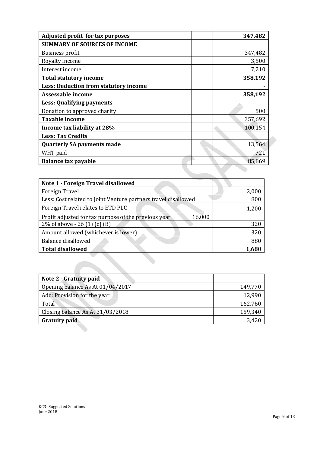| Adjusted profit for tax purposes      | 347,482 |
|---------------------------------------|---------|
| <b>SUMMARY OF SOURCES OF INCOME</b>   |         |
| <b>Business profit</b>                | 347,482 |
| Royalty income                        | 3,500   |
| Interest income                       | 7,210   |
| <b>Total statutory income</b>         | 358,192 |
| Less: Deduction from statutory income |         |
| Assessable income                     | 358,192 |
| Less: Qualifying payments             |         |
| Donation to approved charity          | 500     |
| <b>Taxable income</b>                 | 357,692 |
| Income tax liability at 28%           | 100,154 |
| <b>Less: Tax Credits</b>              |         |
| <b>Quarterly SA payments made</b>     | 13,564  |
| WHT paid                              | 721     |
| <b>Balance tax payable</b>            | 85,869  |

| Note 1 - Foreign Travel disallowed                             |       |
|----------------------------------------------------------------|-------|
| Foreign Travel                                                 | 2,000 |
| Less: Cost related to Joint Venture partners travel disallowed | 800   |
| Foreign Travel relates to ETD PLC                              | 1,200 |
| Profit adjusted for tax purpose of the previous year<br>16,000 |       |
| 2\% of above - 26 (1) (c) (B)                                  | 320   |
| Amount allowed (whichever is lower)                            | 320   |
| Balance disallowed                                             | 880   |
| <b>Total disallowed</b>                                        | 1,680 |
|                                                                |       |

| Note 2 - Gratuity paid           |         |
|----------------------------------|---------|
| Opening balance As At 01/04/2017 | 149,770 |
| Add: Provision for the year      | 12,990  |
| Total                            | 162,760 |
| Closing balance As At 31/03/2018 | 159,340 |
| <b>Gratuity paid</b>             | 3,420   |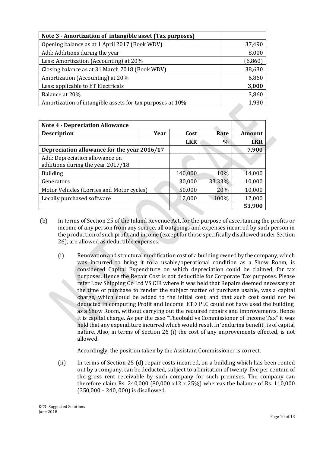| Note 3 - Amortization of intangible asset (Tax purposes)  |         |
|-----------------------------------------------------------|---------|
| Opening balance as at 1 April 2017 (Book WDV)             | 37,490  |
| Add: Additions during the year                            | 8,000   |
| Less: Amortization (Accounting) at 20%                    | (6,860) |
| Closing balance as at 31 March 2018 (Book WDV)            | 38,630  |
| Amortization (Accounting) at 20%                          | 6,860   |
| Less: applicable to ET Electricals                        | 3,000   |
| Balance at 20%                                            | 3,860   |
| Amortization of intangible assets for tax purposes at 10% | 1,930   |
|                                                           |         |

| <b>Note 4 - Depreciation Allowance</b>                              |      |            |        |               |
|---------------------------------------------------------------------|------|------------|--------|---------------|
| <b>Description</b>                                                  | Year | Cost       | Rate   | <b>Amount</b> |
|                                                                     |      | <b>LKR</b> | $\%$   | <b>LKR</b>    |
| Depreciation allowance for the year 2016/17                         |      |            |        | 7,900         |
| Add: Depreciation allowance on<br>additions during the year 2017/18 |      |            |        |               |
| <b>Building</b>                                                     |      | 140,000    | 10%    | 14,000        |
| Generators                                                          |      | 30,000     | 33.33% | 10,000        |
| Motor Vehicles (Lorries and Motor cycles)                           |      | 50,000     | 20%    | 10,000        |
| Locally purchased software                                          |      | 12,000     | 100%   | 12,000        |
|                                                                     |      |            |        | 53,900        |

- (b) In terms of Section 25 of the Inland Revenue Act, for the purpose of ascertaining the profits or income of any person from any source, all outgoings and expenses incurred by such person in the production of such profit and income (except for those specifically disallowed under Section 26), are allowed as deductible expenses.
	- (i) Renovation and structural modification cost of a building owned by the company, which was incurred to bring it to a usable/operational condition as a Show Room, is considered Capital Expenditure on which depreciation could be claimed, for tax purposes. Hence the Repair Cost is not deductible for Corporate Tax purposes. Please refer Low Shipping Co Ltd VS CIR where it was held that Repairs deemed necessary at the time of purchase to render the subject matter of purchase usable, was a capital charge, which could be added to the initial cost, and that such cost could not be deducted in computing Profit and Income. ETD PLC could not have used the building, as a Show Room, without carrying out the required repairs and improvements. Hence it is capital charge. As per the case "Theobald vs Commissioner of Income Tax" it was held that any expenditure incurred which would result in 'enduring benefit', is of capital nature. Also, in terms of Section 26 (i) the cost of any improvements effected, is not allowed.

Accordingly, the position taken by the Assistant Commissioner is correct.

(ii) In terms of Section 25 (d) repair costs incurred, on a building which has been rented out by a company, can be deducted, subject to a limitation of twenty-five per centum of the gross rent receivable by such company for such premises. The company can therefore claim Rs. 240,000 (80,000 x12 x 25%) whereas the balance of Rs. 110,000 (350,000 – 240, 000) is disallowed.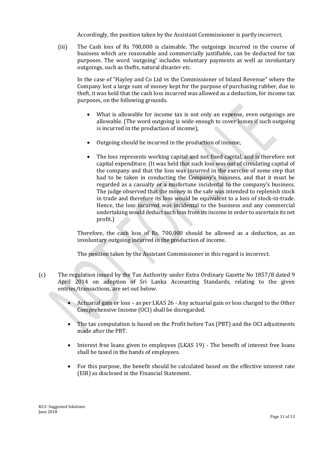Accordingly, the position taken by the Assistant Commissioner is partly incorrect.

(iii) The Cash loss of Rs 700,000 is claimable. The outgoings incurred in the course of business which are reasonable and commercially justifiable, can be deducted for tax purposes. The word 'outgoing' includes voluntary payments as well as involuntary outgoings, such as thefts, natural disaster etc.

In the case of "Hayley and Co Ltd vs the Commissioner of Inland Revenue" where the Company lost a large sum of money kept for the purpose of purchasing rubber, due to theft, it was held that the cash loss incurred was allowed as a deduction, for income tax purposes, on the following grounds.

- What is allowable for income tax is not only an expense, even outgoings are allowable. (The word outgoing is wide enough to cover losses if such outgoing is incurred in the production of income),
- Outgoing should be incurred in the production of income,
- The loss represents working capital and not fixed capital, and is therefore not capital expenditure. (It was held that such loss was out of circulating capital of the company and that the loss was incurred in the exercise of some step that had to be taken in conducting the Company's business, and that it must be regarded as a casualty or a misfortune incidental to the company's business. The judge observed that the money in the safe was intended to replenish stock in trade and therefore its loss would be equivalent to a loss of stock-in-trade. Hence, the loss incurred was incidental to the business and any commercial undertaking would deduct such loss from its income in order to ascertain its net profit.)

Therefore, the cash loss of Rs. 700,000 should be allowed as a deduction, as an involuntary outgoing incurred in the production of income.

The position taken by the Assistant Commissioner in this regard is incorrect.

- (c) The regulation issued by the Tax Authority under Extra Ordinary Gazette No 1857/8 dated 9 April 2014 on adoption of Sri Lanka Accounting Standards, relating to the given entries/transactions, are set out below.
	- Actuarial gain or loss as per LKAS 26 Any actuarial gain or loss charged to the Other Comprehensive Income (OCI) shall be disregarded.
	- The tax computation is based on the Profit before Tax (PBT) and the OCI adjustments made after the PBT.
	- Interest free loans given to employees (LKAS 19) The benefit of interest free loans shall be taxed in the hands of employees.
	- For this purpose, the benefit should be calculated based on the effective interest rate (EIR) as disclosed in the Financial Statement.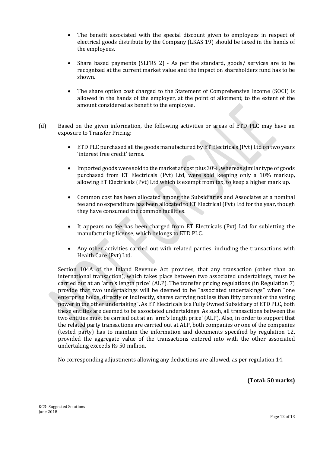- The benefit associated with the special discount given to employees in respect of electrical goods distribute by the Company (LKAS 19) should be taxed in the hands of the employees.
- Share based payments (SLFRS 2) As per the standard, goods/ services are to be recognized at the current market value and the impact on shareholders fund has to be shown.
- The share option cost charged to the Statement of Comprehensive Income (SOCI) is allowed in the hands of the employer, at the point of allotment, to the extent of the amount considered as benefit to the employee.
- (d) Based on the given information, the following activities or areas of ETD PLC may have an exposure to Transfer Pricing:
	- ETD PLC purchased all the goods manufactured by ET Electricals (Pvt) Ltd on two years 'interest free credit' terms.
	- Imported goods were sold to the market at cost plus 30%, whereas similar type of goods purchased from ET Electricals (Pvt) Ltd, were sold keeping only a 10% markup, allowing ET Electricals (Pvt) Ltd which is exempt from tax, to keep a higher mark up.
	- Common cost has been allocated among the Subsidiaries and Associates at a nominal fee and no expenditure has been allocated to ET Electrical (Pvt) Ltd for the year, though they have consumed the common facilities.
	- It appears no fee has been charged from ET Electricals (Pvt) Ltd for subletting the manufacturing license, which belongs to ETD PLC.
	- Any other activities carried out with related parties, including the transactions with Health Care (Pvt) Ltd.

Section 104A of the Inland Revenue Act provides, that any transaction (other than an international transaction), which takes place between two associated undertakings, must be carried out at an 'arm's length price' (ALP). The transfer pricing regulations (in Regulation 7) provide that two undertakings will be deemed to be "associated undertakings" when "one enterprise holds, directly or indirectly, shares carrying not less than fifty percent of the voting power in the other undertaking". As ET Electricals is a Fully Owned Subsidiary of ETD PLC, both these entities are deemed to be associated undertakings. As such, all transactions between the two entities must be carried out at an 'arm's length price' (ALP). Also, in order to support that the related party transactions are carried out at ALP, both companies or one of the companies (tested party) has to maintain the information and documents specified by regulation 12, provided the aggregate value of the transactions entered into with the other associated undertaking exceeds Rs 50 million.

No corresponding adjustments allowing any deductions are allowed, as per regulation 14.

**(Total: 50 marks)**